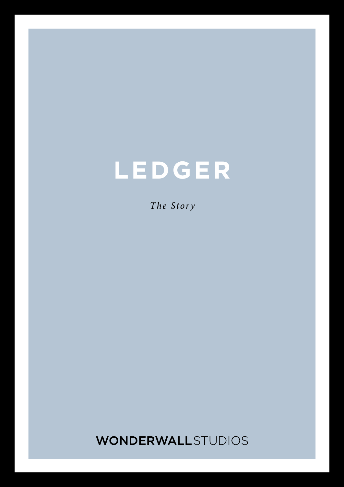# **LEDGER**

*The Story*

**WONDERWALL**STUDIOS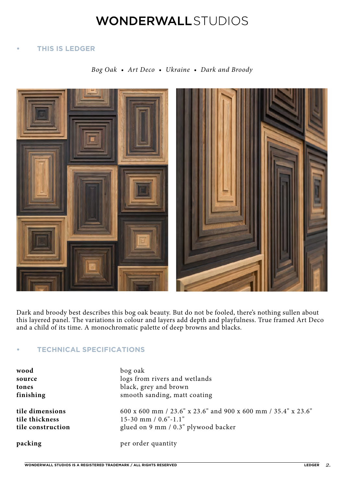### **WONDERWALL**STUDIOS

### **• THIS IS LEDGER**

*Bog Oak • Art Deco • Ukraine • Dark and Broody*



Dark and broody best describes this bog oak beauty. But do not be fooled, there's nothing sullen about this layered panel. The variations in colour and layers add depth and playfulness. True framed Art Deco and a child of its time. A monochromatic palette of deep browns and blacks.

### **• TECHNICAL SPECIFICATIONS**

| wood              | bog oak                                                       |
|-------------------|---------------------------------------------------------------|
| source            | logs from rivers and wetlands                                 |
| tones             | black, grey and brown                                         |
| finishing         | smooth sanding, matt coating                                  |
| tile dimensions   | 600 x 600 mm / 23.6" x 23.6" and 900 x 600 mm / 35.4" x 23.6" |
| tile thickness    | $15-30$ mm $/ 0.6"$ -1.1"                                     |
| tile construction | glued on 9 mm / 0.3" plywood backer                           |
| packing           | per order quantity                                            |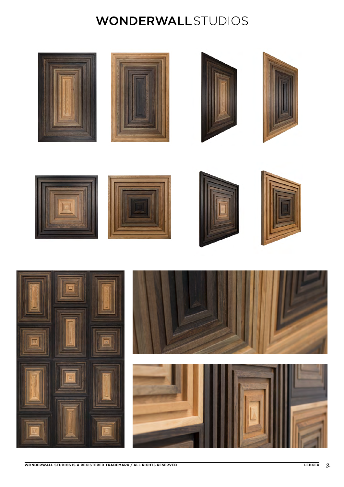### **WONDERWALL**STUDIOS